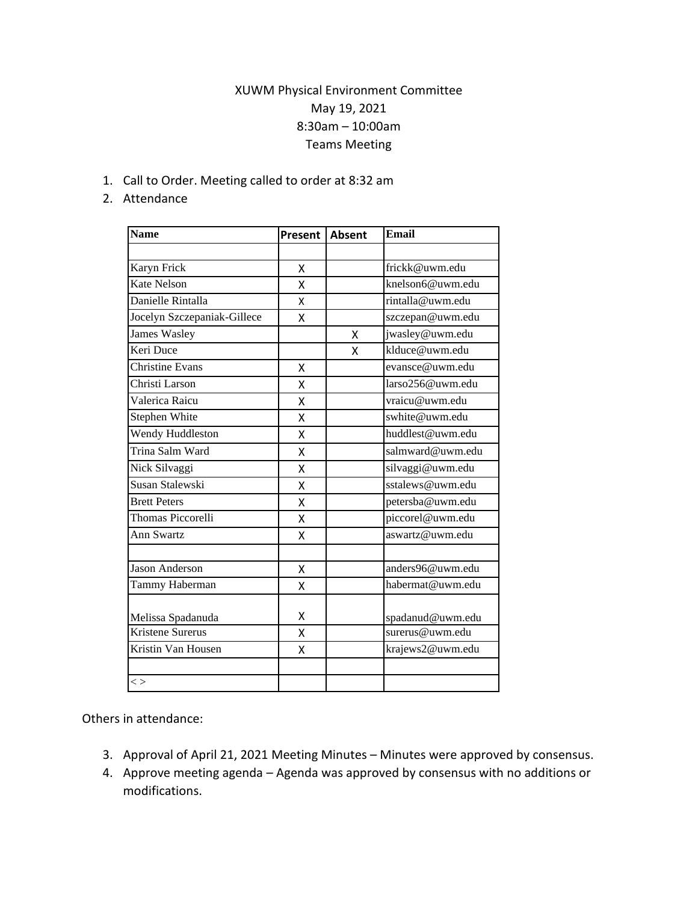## XUWM Physical Environment Committee May 19, 2021 8:30am – 10:00am Teams Meeting

1. Call to Order. Meeting called to order at 8:32 am

## 2. Attendance

| <b>Name</b>                 | Present   Absent |   | <b>Email</b>     |
|-----------------------------|------------------|---|------------------|
|                             |                  |   |                  |
| Karyn Frick                 | X                |   | frickk@uwm.edu   |
| <b>Kate Nelson</b>          | X                |   | knelson6@uwm.edu |
| Danielle Rintalla           | x                |   | rintalla@uwm.edu |
| Jocelyn Szczepaniak-Gillece | x                |   | szczepan@uwm.edu |
| <b>James Wasley</b>         |                  | X | jwasley@uwm.edu  |
| Keri Duce                   |                  | X | klduce@uwm.edu   |
| <b>Christine Evans</b>      | X                |   | evansce@uwm.edu  |
| Christi Larson              | Χ                |   | larso256@uwm.edu |
| Valerica Raicu              | Χ                |   | vraicu@uwm.edu   |
| Stephen White               | X                |   | swhite@uwm.edu   |
| Wendy Huddleston            | Χ                |   | huddlest@uwm.edu |
| Trina Salm Ward             | x                |   | salmward@uwm.edu |
| Nick Silvaggi               | X                |   | silvaggi@uwm.edu |
| Susan Stalewski             | X                |   | sstalews@uwm.edu |
| <b>Brett Peters</b>         | Χ                |   | petersba@uwm.edu |
| Thomas Piccorelli           | X                |   | piccorel@uwm.edu |
| Ann Swartz                  | Χ                |   | aswartz@uwm.edu  |
|                             |                  |   |                  |
| Jason Anderson              | X                |   | anders96@uwm.edu |
| Tammy Haberman              | Χ                |   | habermat@uwm.edu |
|                             |                  |   |                  |
| Melissa Spadanuda           | χ                |   | spadanud@uwm.edu |
| <b>Kristene Surerus</b>     | Χ                |   | surerus@uwm.edu  |
| Kristin Van Housen          | X                |   | krajews2@uwm.edu |
|                             |                  |   |                  |
| $\lt$                       |                  |   |                  |

Others in attendance:

- 3. Approval of April 21, 2021 Meeting Minutes Minutes were approved by consensus.
- 4. Approve meeting agenda Agenda was approved by consensus with no additions or modifications.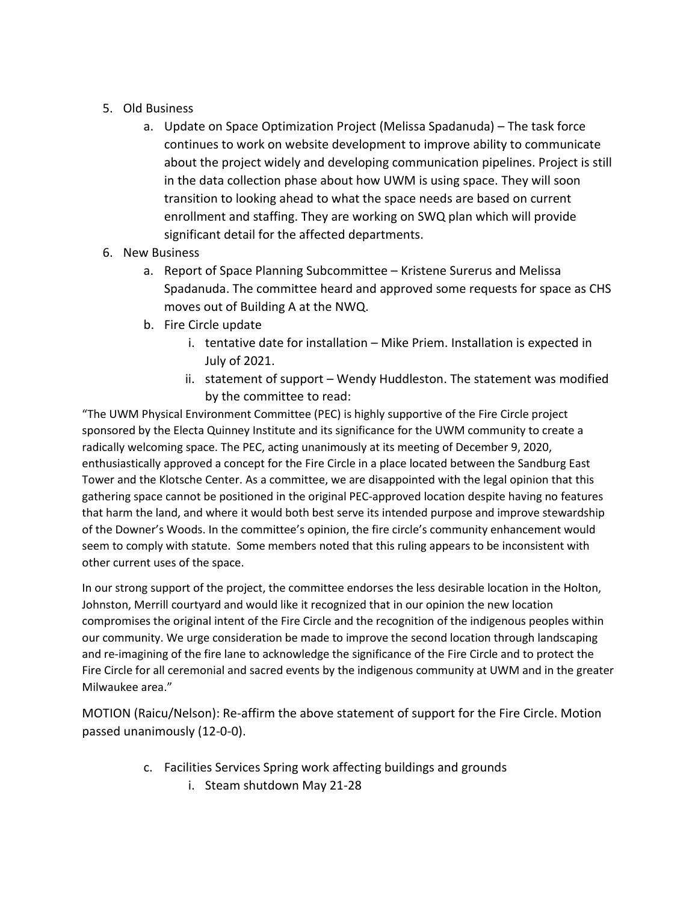- 5. Old Business
	- a. Update on Space Optimization Project (Melissa Spadanuda) The task force continues to work on website development to improve ability to communicate about the project widely and developing communication pipelines. Project is still in the data collection phase about how UWM is using space. They will soon transition to looking ahead to what the space needs are based on current enrollment and staffing. They are working on SWQ plan which will provide significant detail for the affected departments.
- 6. New Business
	- a. Report of Space Planning Subcommittee Kristene Surerus and Melissa Spadanuda. The committee heard and approved some requests for space as CHS moves out of Building A at the NWQ.
	- b. Fire Circle update
		- i. tentative date for installation Mike Priem. Installation is expected in July of 2021.
		- ii. statement of support Wendy Huddleston. The statement was modified by the committee to read:

"The UWM Physical Environment Committee (PEC) is highly supportive of the Fire Circle project sponsored by the Electa Quinney Institute and its significance for the UWM community to create a radically welcoming space. The PEC, acting unanimously at its meeting of December 9, 2020, enthusiastically approved a concept for the Fire Circle in a place located between the Sandburg East Tower and the Klotsche Center. As a committee, we are disappointed with the legal opinion that this gathering space cannot be positioned in the original PEC-approved location despite having no features that harm the land, and where it would both best serve its intended purpose and improve stewardship of the Downer's Woods. In the committee's opinion, the fire circle's community enhancement would seem to comply with statute. Some members noted that this ruling appears to be inconsistent with other current uses of the space.

In our strong support of the project, the committee endorses the less desirable location in the Holton, Johnston, Merrill courtyard and would like it recognized that in our opinion the new location compromises the original intent of the Fire Circle and the recognition of the indigenous peoples within our community. We urge consideration be made to improve the second location through landscaping and re-imagining of the fire lane to acknowledge the significance of the Fire Circle and to protect the Fire Circle for all ceremonial and sacred events by the indigenous community at UWM and in the greater Milwaukee area."

MOTION (Raicu/Nelson): Re-affirm the above statement of support for the Fire Circle. Motion passed unanimously (12-0-0).

- c. Facilities Services Spring work affecting buildings and grounds
	- i. Steam shutdown May 21-28